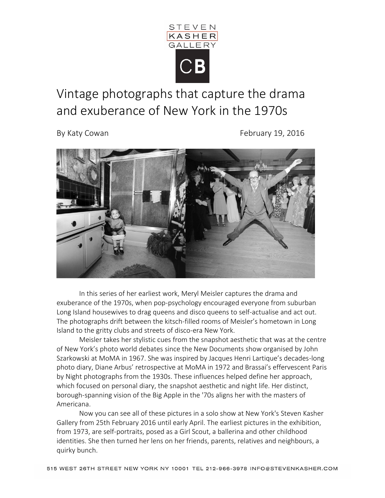

## Vintage photographs that capture the drama and exuberance of New York in the 1970s

By Katy Cowan **February 19, 2016** 



In this series of her earliest work, Meryl Meisler captures the drama and exuberance of the 1970s, when pop-psychology encouraged everyone from suburban Long Island housewives to drag queens and disco queens to self-actualise and act out. The photographs drift between the kitsch-filled rooms of Meisler's hometown in Long Island to the gritty clubs and streets of disco-era New York.

Meisler takes her stylistic cues from the snapshot aesthetic that was at the centre of New York's photo world debates since the New Documents show organised by John Szarkowski at MoMA in 1967. She was inspired by Jacques Henri Lartique's decades-long photo diary, Diane Arbus' retrospective at MoMA in 1972 and Brassai's effervescent Paris by Night photographs from the 1930s. These influences helped define her approach, which focused on personal diary, the snapshot aesthetic and night life. Her distinct, borough-spanning vision of the Big Apple in the '70s aligns her with the masters of Americana.

Now you can see all of these pictures in a solo show at New York's Steven Kasher Gallery from 25th February 2016 until early April. The earliest pictures in the exhibition, from 1973, are self-portraits, posed as a Girl Scout, a ballerina and other childhood identities. She then turned her lens on her friends, parents, relatives and neighbours, a quirky bunch.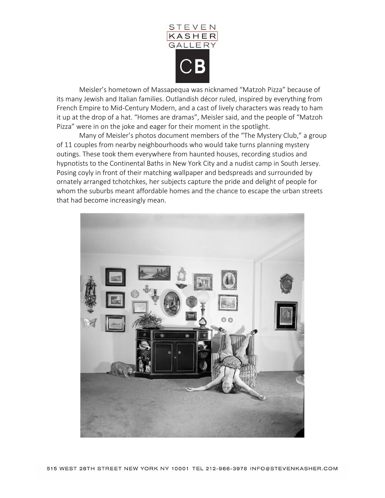

Meisler's hometown of Massapequa was nicknamed "Matzoh Pizza" because of its many Jewish and Italian families. Outlandish décor ruled, inspired by everything from French Empire to Mid-Century Modern, and a cast of lively characters was ready to ham it up at the drop of a hat. "Homes are dramas", Meisler said, and the people of "Matzoh Pizza" were in on the joke and eager for their moment in the spotlight.

Many of Meisler's photos document members of the "The Mystery Club," a group of 11 couples from nearby neighbourhoods who would take turns planning mystery outings. These took them everywhere from haunted houses, recording studios and hypnotists to the Continental Baths in New York City and a nudist camp in South Jersey. Posing coyly in front of their matching wallpaper and bedspreads and surrounded by ornately arranged tchotchkes, her subjects capture the pride and delight of people for whom the suburbs meant affordable homes and the chance to escape the urban streets that had become increasingly mean.

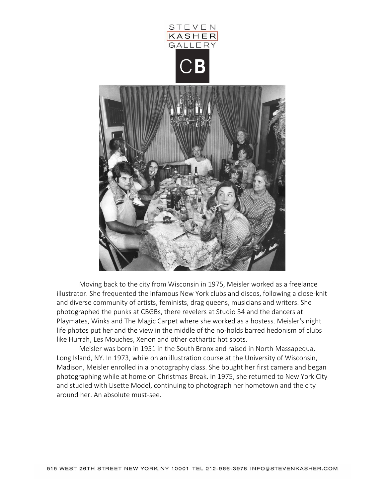

Moving back to the city from Wisconsin in 1975, Meisler worked as a freelance illustrator. She frequented the infamous New York clubs and discos, following a close-knit and diverse community of artists, feminists, drag queens, musicians and writers. She photographed the punks at CBGBs, there revelers at Studio 54 and the dancers at Playmates, Winks and The Magic Carpet where she worked as a hostess. Meisler's night life photos put her and the view in the middle of the no-holds barred hedonism of clubs like Hurrah, Les Mouches, Xenon and other cathartic hot spots.

Meisler was born in 1951 in the South Bronx and raised in North Massapequa, Long Island, NY. In 1973, while on an illustration course at the University of Wisconsin, Madison, Meisler enrolled in a photography class. She bought her first camera and began photographing while at home on Christmas Break. In 1975, she returned to New York City and studied with Lisette Model, continuing to photograph her hometown and the city around her. An absolute must-see.